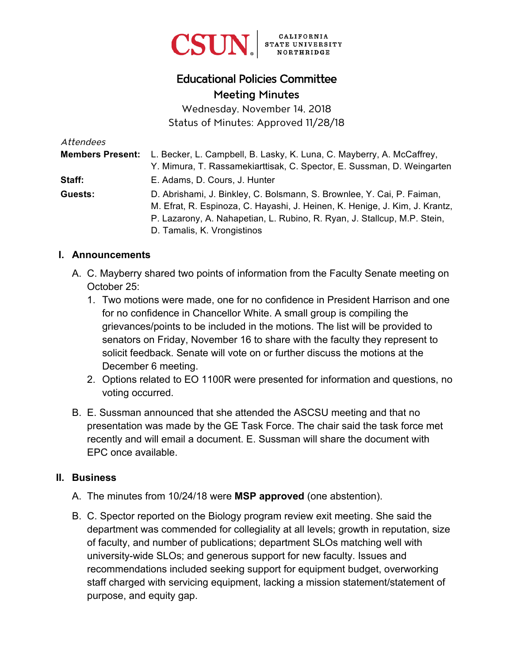

# Educational Policies Committee Meeting Minutes

Wednesday, November 14, 2018 Status of Minutes: Approved 11/28/18

| Attendees               |                                                                             |
|-------------------------|-----------------------------------------------------------------------------|
| <b>Members Present:</b> | L. Becker, L. Campbell, B. Lasky, K. Luna, C. Mayberry, A. McCaffrey,       |
|                         | Y. Mimura, T. Rassamekiarttisak, C. Spector, E. Sussman, D. Weingarten      |
| Staff:                  | E. Adams, D. Cours, J. Hunter                                               |
| Guests:                 | D. Abrishami, J. Binkley, C. Bolsmann, S. Brownlee, Y. Cai, P. Faiman,      |
|                         | M. Efrat, R. Espinoza, C. Hayashi, J. Heinen, K. Henige, J. Kim, J. Krantz, |
|                         | P. Lazarony, A. Nahapetian, L. Rubino, R. Ryan, J. Stallcup, M.P. Stein,    |
|                         | D. Tamalis, K. Vrongistinos                                                 |

#### **I. Announcements**

- A. C. Mayberry shared two points of information from the Faculty Senate meeting on October 25:
	- 1. Two motions were made, one for no confidence in President Harrison and one for no confidence in Chancellor White. A small group is compiling the grievances/points to be included in the motions. The list will be provided to senators on Friday, November 16 to share with the faculty they represent to solicit feedback. Senate will vote on or further discuss the motions at the December 6 meeting.
	- 2. Options related to EO 1100R were presented for information and questions, no voting occurred.
- B. E. Sussman announced that she attended the ASCSU meeting and that no presentation was made by the GE Task Force. The chair said the task force met recently and will email a document. E. Sussman will share the document with EPC once available.

#### **II. Business**

- A. The minutes from 10/24/18 were **MSP approved** (one abstention).
- B. C. Spector reported on the Biology program review exit meeting. She said the department was commended for collegiality at all levels; growth in reputation, size of faculty, and number of publications; department SLOs matching well with university-wide SLOs; and generous support for new faculty. Issues and recommendations included seeking support for equipment budget, overworking staff charged with servicing equipment, lacking a mission statement/statement of purpose, and equity gap.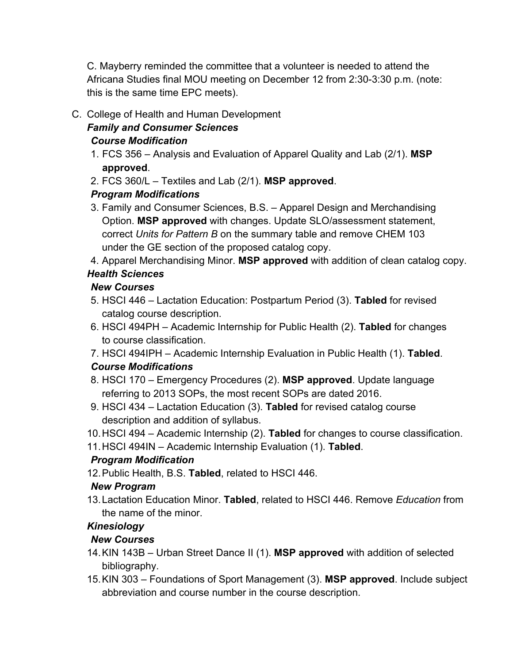C. Mayberry reminded the committee that a volunteer is needed to attend the Africana Studies final MOU meeting on December 12 from 2:30-3:30 p.m. (note: this is the same time EPC meets).

C. College of Health and Human Development

#### *Family and Consumer Sciences Course Modification*

- 1. FCS 356 Analysis and Evaluation of Apparel Quality and Lab (2/1). **MSP approved**.
- 2. FCS 360/L Textiles and Lab (2/1). **MSP approved**.

### *Program Modifications*

- 3. Family and Consumer Sciences, B.S. Apparel Design and Merchandising Option. **MSP approved** with changes. Update SLO/assessment statement, correct *Units for Pattern B* on the summary table and remove CHEM 103 under the GE section of the proposed catalog copy.
- 4. Apparel Merchandising Minor. **MSP approved** with addition of clean catalog copy.

## *Health Sciences*

### *New Courses*

- 5. HSCI 446 Lactation Education: Postpartum Period (3). **Tabled** for revised catalog course description.
- 6. HSCI 494PH Academic Internship for Public Health (2). **Tabled** for changes to course classification.
- 7. HSCI 494IPH Academic Internship Evaluation in Public Health (1). **Tabled**. *Course Modifications*
- 8. HSCI 170 Emergency Procedures (2). **MSP approved**. Update language referring to 2013 SOPs, the most recent SOPs are dated 2016.
- 9. HSCI 434 Lactation Education (3). **Tabled** for revised catalog course description and addition of syllabus.
- 10. HSCI 494 Academic Internship (2). **Tabled** for changes to course classification.
- 11. HSCI 494IN Academic Internship Evaluation (1). **Tabled**.

## *Program Modification*

12. Public Health, B.S. **Tabled**, related to HSCI 446.

## *New Program*

13. Lactation Education Minor. **Tabled**, related to HSCI 446. Remove *Education* from the name of the minor.

# *Kinesiology*

## *New Courses*

- 14. KIN 143B Urban Street Dance II (1). **MSP approved** with addition of selected bibliography.
- 15. KIN 303 Foundations of Sport Management (3). **MSP approved**. Include subject abbreviation and course number in the course description.